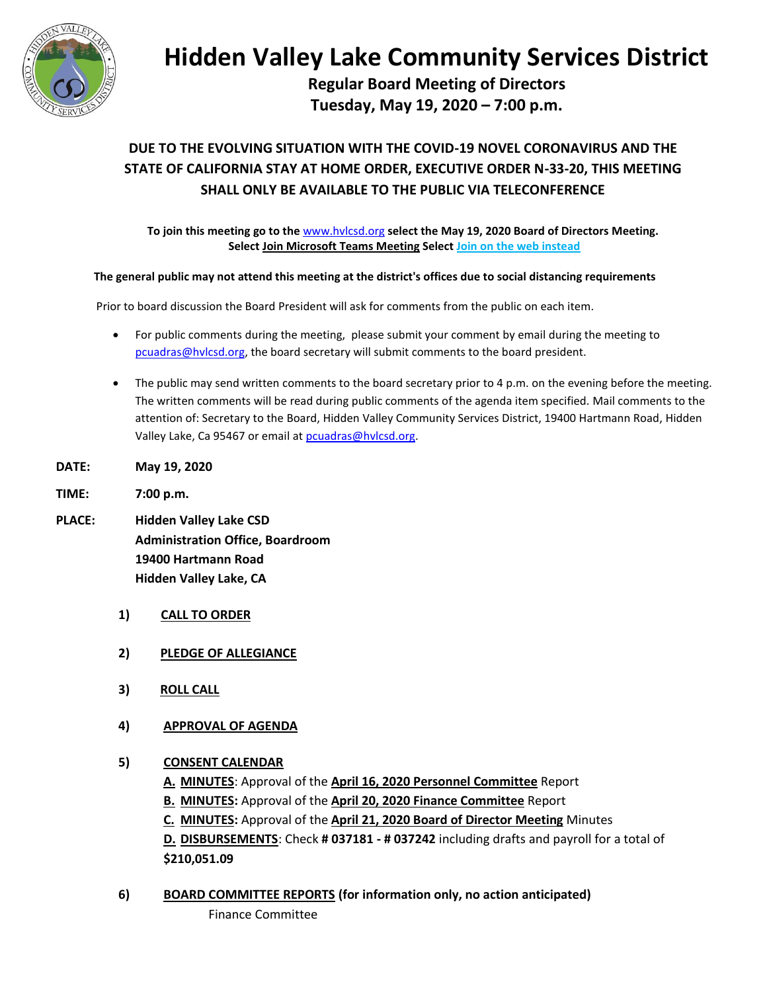

# **Hidden Valley Lake Community Services District**

**Regular Board Meeting of Directors Tuesday, May 19, 2020 – 7:00 p.m.**

# **DUE TO THE EVOLVING SITUATION WITH THE COVID-19 NOVEL CORONAVIRUS AND THE STATE OF CALIFORNIA STAY AT HOME ORDER, EXECUTIVE ORDER N-33-20, THIS MEETING SHALL ONLY BE AVAILABLE TO THE PUBLIC VIA TELECONFERENCE**

**To join this meeting go to the** [www.hvlcsd.org](http://www.hvlcsd.org/) **select the May 19, 2020 Board of Directors Meeting. Select Join Microsoft Teams Meeting Select Join on the web instead**

#### **The general public may not attend this meeting at the district's offices due to social distancing requirements**

Prior to board discussion the Board President will ask for comments from the public on each item.

- For public comments during the meeting, please submit your comment by email during the meeting to [pcuadras@hvlcsd.org,](mailto:pcuadras@hvlcsd.org) the board secretary will submit comments to the board president.
- The public may send written comments to the board secretary prior to 4 p.m. on the evening before the meeting. The written comments will be read during public comments of the agenda item specified. Mail comments to the attention of: Secretary to the Board, Hidden Valley Community Services District, 19400 Hartmann Road, Hidden Valley Lake, Ca 95467 or email at pcuadras@hylcsd.org.
- **DATE: May 19, 2020**
- **TIME: 7:00 p.m.**
- **PLACE: Hidden Valley Lake CSD Administration Office, Boardroom 19400 Hartmann Road Hidden Valley Lake, CA** 
	- **1) CALL TO ORDER**
	- **2) PLEDGE OF ALLEGIANCE**
	- **3) ROLL CALL**
	- **4) APPROVAL OF AGENDA**

# **5) CONSENT CALENDAR**

- **A. MINUTES**: Approval of the **April 16, 2020 Personnel Committee** Report
- **B. MINUTES:** Approval of the **April 20, 2020 Finance Committee** Report
- **C. MINUTES:** Approval of the **April 21, 2020 Board of Director Meeting** Minutes

**D. DISBURSEMENTS**: Check **# 037181 - # 037242** including drafts and payroll for a total of **\$210,051.09**

**6) BOARD COMMITTEE REPORTS (for information only, no action anticipated)** Finance Committee